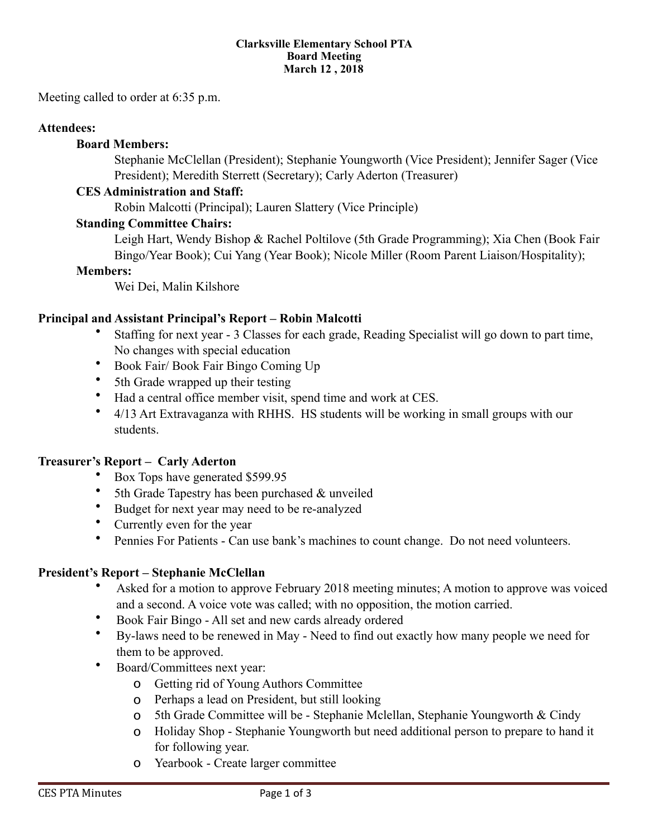#### **Clarksville Elementary School PTA Board Meeting March 12 , 2018**

Meeting called to order at 6:35 p.m.

### **Attendees:**

### **Board Members:**

 Stephanie McClellan (President); Stephanie Youngworth (Vice President); Jennifer Sager (Vice President); Meredith Sterrett (Secretary); Carly Aderton (Treasurer)

### **CES Administration and Staff:**

Robin Malcotti (Principal); Lauren Slattery (Vice Principle)

### **Standing Committee Chairs:**

Leigh Hart, Wendy Bishop & Rachel Poltilove (5th Grade Programming); Xia Chen (Book Fair Bingo/Year Book); Cui Yang (Year Book); Nicole Miller (Room Parent Liaison/Hospitality);

#### **Members:**

Wei Dei, Malin Kilshore

### **Principal and Assistant Principal's Report – Robin Malcotti**

- Staffing for next year 3 Classes for each grade, Reading Specialist will go down to part time, No changes with special education
- Book Fair/ Book Fair Bingo Coming Up
- 5th Grade wrapped up their testing
- Had a central office member visit, spend time and work at CES.
- 4/13 Art Extravaganza with RHHS. HS students will be working in small groups with our students.

### **Treasurer's Report – Carly Aderton**

- Box Tops have generated \$599.95
- 5th Grade Tapestry has been purchased  $&$  unveiled
- Budget for next year may need to be re-analyzed
- Currently even for the year
- Pennies For Patients Can use bank's machines to count change. Do not need volunteers.

### **President's Report – Stephanie McClellan**

- Asked for a motion to approve February 2018 meeting minutes; A motion to approve was voiced and a second. A voice vote was called; with no opposition, the motion carried.
- Book Fair Bingo All set and new cards already ordered
- By-laws need to be renewed in May Need to find out exactly how many people we need for them to be approved.
- Board/Committees next year:
	- o Getting rid of Young Authors Committee
	- o Perhaps a lead on President, but still looking
	- o 5th Grade Committee will be Stephanie Mclellan, Stephanie Youngworth & Cindy
	- o Holiday Shop Stephanie Youngworth but need additional person to prepare to hand it for following year.
	- o Yearbook Create larger committee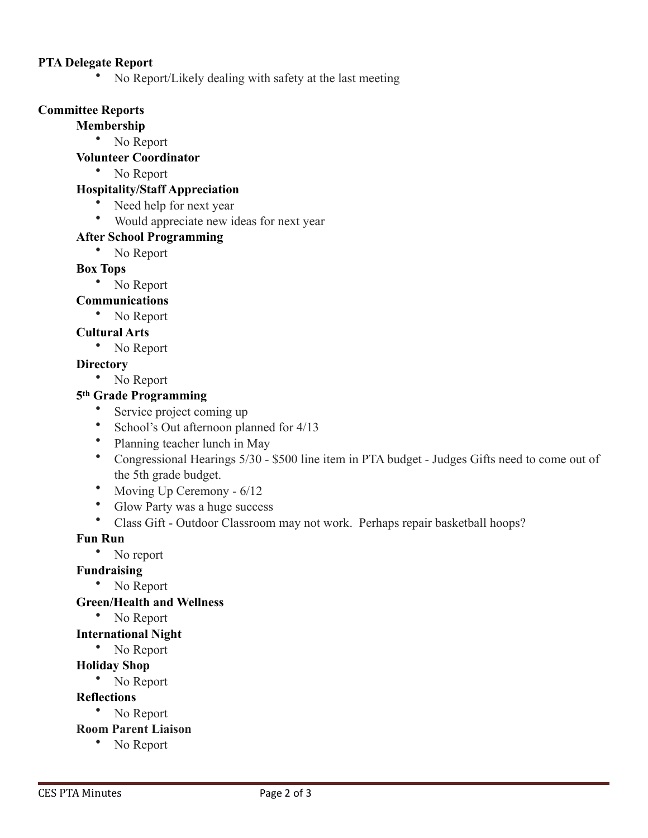### **PTA Delegate Report**

• No Report/Likely dealing with safety at the last meeting

## **Committee Reports**

## **Membership**

• No Report

## **Volunteer Coordinator**

• No Report

# **Hospitality/Staff Appreciation**

- Need help for next year
- Would appreciate new ideas for next year

# **After School Programming**

• No Report

## **Box Tops**

• No Report

# **Communications**

• No Report

## **Cultural Arts**

• No Report

## **Directory**

• No Report

# **5th Grade Programming**

- Service project coming up
- School's Out afternoon planned for 4/13
- Planning teacher lunch in May
- Congressional Hearings 5/30 \$500 line item in PTA budget Judges Gifts need to come out of the 5th grade budget.
- Moving Up Ceremony 6/12
- Glow Party was a huge success
- Class Gift Outdoor Classroom may not work. Perhaps repair basketball hoops?

## **Fun Run**

• No report

## **Fundraising**

• No Report

## **Green/Health and Wellness**

• No Report

## **International Night**

• No Report

# **Holiday Shop**

• No Report

## **Reflections**

# • No Report

- **Room Parent Liaison** 
	- No Report